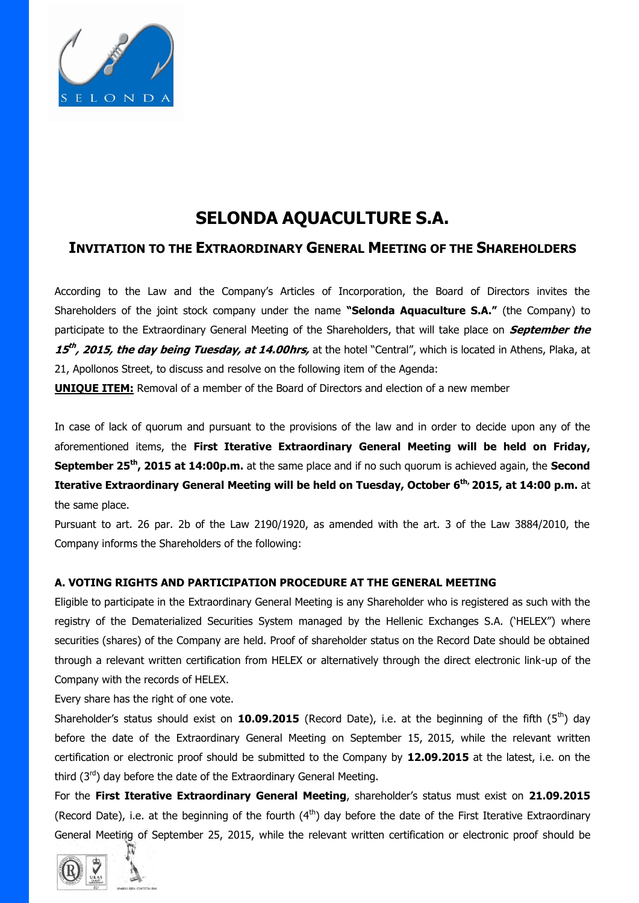

# **SELONDA AQUACULTURE S.A.**

## **INVITATION TO THE EXTRAORDINARY GENERAL MEETING OF THE SHAREHOLDERS**

According to the Law and the Company's Articles of Incorporation, the Board of Directors invites the Shareholders of the joint stock company under the name **"Selonda Aquaculture S.A."** (the Company) to participate to the Extraordinary General Meeting of the Shareholders, that will take place on **September the 15 th , 2015, the day being Tuesday, at 14.00hrs,** at the hotel "Central", which is located in Athens, Plaka, at 21, Apollonos Street, to discuss and resolve on the following item of the Agenda:

**UNIQUE ITEM:** Removal of a member of the Board of Directors and election of a new member

In case of lack of quorum and pursuant to the provisions of the law and in order to decide upon any of the aforementioned items, the **First Iterative Extraordinary General Meeting will be held on Friday, September 25th, 2015 at 14:00p.m.** at the same place and if no such quorum is achieved again, the **Second Iterative Extraordinary General Meeting will be held on Tuesday, October 6 th, 2015, at 14:00 p.m.** at the same place.

Pursuant to art. 26 par. 2b of the Law 2190/1920, as amended with the art. 3 of the Law 3884/2010, the Company informs the Shareholders of the following:

### **A. VOTING RIGHTS AND PARTICIPATION PROCEDURE AT THE GENERAL MEETING**

Eligible to participate in the Extraordinary General Meeting is any Shareholder who is registered as such with the registry of the Dematerialized Securities System managed by the Hellenic Exchanges S.A. ('HELEX") where securities (shares) of the Company are held. Proof of shareholder status on the Record Date should be obtained through a relevant written certification from HELEX or alternatively through the direct electronic link-up of the Company with the records of HELEX.

Every share has the right of one vote.

Shareholder's status should exist on **10.09.2015** (Record Date), i.e. at the beginning of the fifth (5<sup>th</sup>) day before the date of the Extraordinary General Meeting on September 15, 2015, while the relevant written certification or electronic proof should be submitted to the Company by **12.09.2015** at the latest, i.e. on the third  $(3<sup>rd</sup>)$  day before the date of the Extraordinary General Meeting.

For the **First Iterative Extraordinary General Meeting**, shareholder's status must exist on **21.09.2015** (Record Date), i.e. at the beginning of the fourth  $(4<sup>th</sup>)$  day before the date of the First Iterative Extraordinary General Meeting of September 25, 2015, while the relevant written certification or electronic proof should be

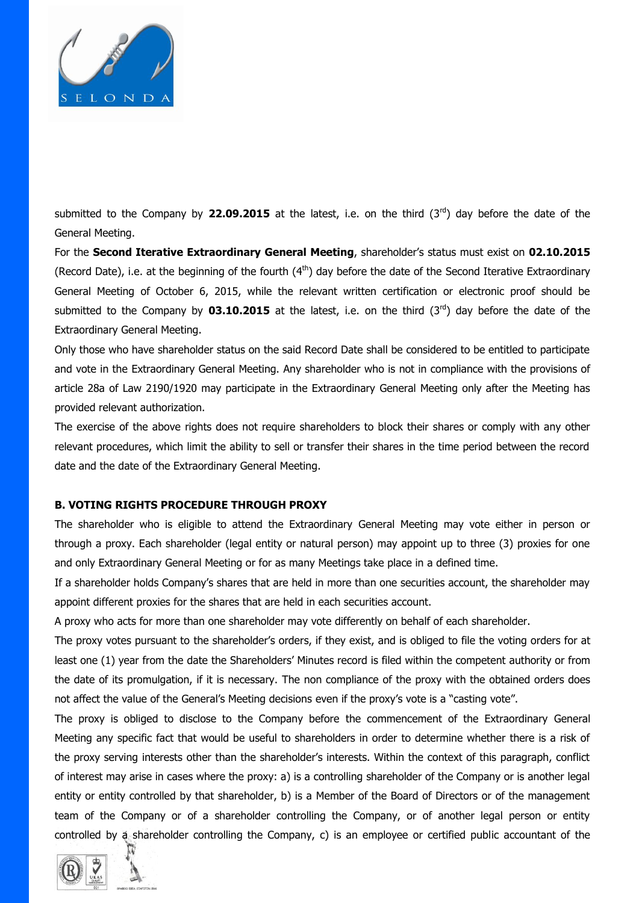

submitted to the Company by 22.09.2015 at the latest, i.e. on the third (3<sup>rd</sup>) day before the date of the General Meeting.

For the **Second Iterative Extraordinary General Meeting**, shareholder's status must exist on **02.10.2015** (Record Date), i.e. at the beginning of the fourth (4<sup>th</sup>) day before the date of the Second Iterative Extraordinary General Meeting of October 6, 2015, while the relevant written certification or electronic proof should be submitted to the Company by **03.10.2015** at the latest, i.e. on the third  $(3^{rd})$  day before the date of the Extraordinary General Meeting.

Only those who have shareholder status on the said Record Date shall be considered to be entitled to participate and vote in the Extraordinary General Meeting. Any shareholder who is not in compliance with the provisions of article 28a of Law 2190/1920 may participate in the Extraordinary General Meeting only after the Meeting has provided relevant authorization.

The exercise of the above rights does not require shareholders to block their shares or comply with any other relevant procedures, which limit the ability to sell or transfer their shares in the time period between the record date and the date of the Extraordinary General Meeting.

#### **B. VOTING RIGHTS PROCEDURE THROUGH PROXY**

The shareholder who is eligible to attend the Extraordinary General Meeting may vote either in person or through a proxy. Each shareholder (legal entity or natural person) may appoint up to three (3) proxies for one and only Extraordinary General Meeting or for as many Meetings take place in a defined time.

If a shareholder holds Company's shares that are held in more than one securities account, the shareholder may appoint different proxies for the shares that are held in each securities account.

A proxy who acts for more than one shareholder may vote differently on behalf of each shareholder.

The proxy votes pursuant to the shareholder's orders, if they exist, and is obliged to file the voting orders for at least one (1) year from the date the Shareholders' Minutes record is filed within the competent authority or from the date of its promulgation, if it is necessary. The non compliance of the proxy with the obtained orders does not affect the value of the General's Meeting decisions even if the proxy's vote is a "casting vote".

The proxy is obliged to disclose to the Company before the commencement of the Extraordinary General Meeting any specific fact that would be useful to shareholders in order to determine whether there is a risk of the proxy serving interests other than the shareholder's interests. Within the context of this paragraph, conflict of interest may arise in cases where the proxy: a) is a controlling shareholder of the Company or is another legal entity or entity controlled by that shareholder, b) is a Member of the Board of Directors or of the management team of the Company or of a shareholder controlling the Company, or of another legal person or entity controlled by a shareholder controlling the Company, c) is an employee or certified public accountant of the

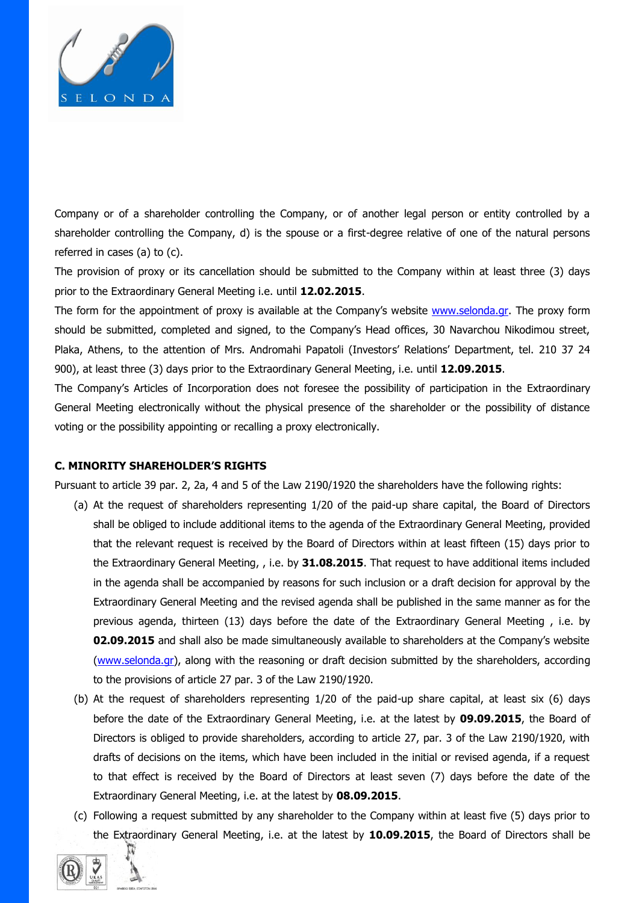

Company or of a shareholder controlling the Company, or of another legal person or entity controlled by a shareholder controlling the Company, d) is the spouse or a first-degree relative of one of the natural persons referred in cases (a) to (c).

The provision of proxy or its cancellation should be submitted to the Company within at least three (3) days prior to the Extraordinary General Meeting i.e. until **12.02.2015**.

The form for the appointment of proxy is available at the Company's website [www.selonda.gr.](http://www.selonda.gr/) The proxy form should be submitted, completed and signed, to the Company's Head offices, 30 Navarchou Nikodimou street, Plaka, Athens, to the attention of Mrs. Andromahi Papatoli (Investors' Relations' Department, tel. 210 37 24 900), at least three (3) days prior to the Extraordinary General Meeting, i.e. until **12.09.2015**.

The Company's Articles of Incorporation does not foresee the possibility of participation in the Extraordinary General Meeting electronically without the physical presence of the shareholder or the possibility of distance voting or the possibility appointing or recalling a proxy electronically.

#### **C. MINORITY SHAREHOLDER'S RIGHTS**

Pursuant to article 39 par. 2, 2a, 4 and 5 of the Law 2190/1920 the shareholders have the following rights:

- (a) At the request of shareholders representing 1/20 of the paid-up share capital, the Board of Directors shall be obliged to include additional items to the agenda of the Extraordinary General Meeting, provided that the relevant request is received by the Board of Directors within at least fifteen (15) days prior to the Extraordinary General Meeting, , i.e. by **31.08.2015**. That request to have additional items included in the agenda shall be accompanied by reasons for such inclusion or a draft decision for approval by the Extraordinary General Meeting and the revised agenda shall be published in the same manner as for the previous agenda, thirteen (13) days before the date of the Extraordinary General Meeting , i.e. by **02.09.2015** and shall also be made simultaneously available to shareholders at the Company's website [\(www.selonda.gr\)](http://www.selonda.gr/), along with the reasoning or draft decision submitted by the shareholders, according to the provisions of article 27 par. 3 of the Law 2190/1920.
- (b) At the request of shareholders representing 1/20 of the paid-up share capital, at least six (6) days before the date of the Extraordinary General Meeting, i.e. at the latest by **09.09.2015**, the Board of Directors is obliged to provide shareholders, according to article 27, par. 3 of the Law 2190/1920, with drafts of decisions on the items, which have been included in the initial or revised agenda, if a request to that effect is received by the Board of Directors at least seven (7) days before the date of the Extraordinary General Meeting, i.e. at the latest by **08.09.2015**.
- (c) Following a request submitted by any shareholder to the Company within at least five (5) days prior to the Extraordinary General Meeting, i.e. at the latest by **10.09.2015**, the Board of Directors shall be